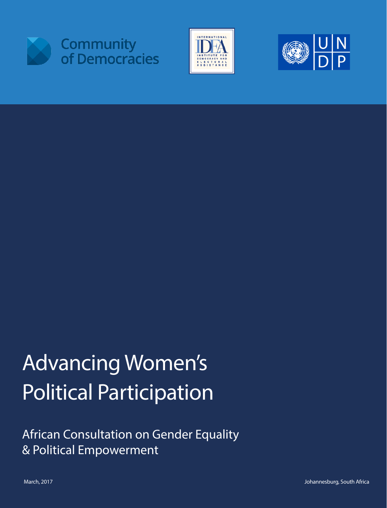





# Advancing Women's Political Participation

African Consultation on Gender Equality & Political Empowerment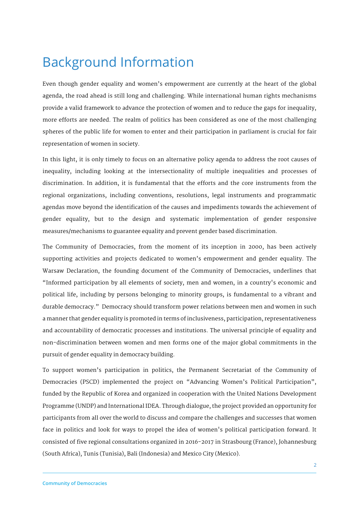# Background Information

Even though gender equality and women's empowerment are currently at the heart of the global agenda, the road ahead is still long and challenging. While international human rights mechanisms provide a valid framework to advance the protection of women and to reduce the gaps for inequality, more efforts are needed. The realm of politics has been considered as one of the most challenging spheres of the public life for women to enter and their participation in parliament is crucial for fair representation of women in society.

In this light, it is only timely to focus on an alternative policy agenda to address the root causes of inequality, including looking at the intersectionality of multiple inequalities and processes of discrimination. In addition, it is fundamental that the efforts and the core instruments from the regional organizations, including conventions, resolutions, legal instruments and programmatic agendas move beyond the identification of the causes and impediments towards the achievement of gender equality, but to the design and systematic implementation of gender responsive measures/mechanisms to guarantee equality and prevent gender based discrimination.

The Community of Democracies, from the moment of its inception in 2000, has been actively supporting activities and projects dedicated to women's empowerment and gender equality. The Warsaw Declaration, the founding document of the Community of Democracies, underlines that "Informed participation by all elements of society, men and women, in a country's economic and political life, including by persons belonging to minority groups, is fundamental to a vibrant and durable democracy." Democracy should transform power relations between men and women in such a manner that gender equality is promoted in terms of inclusiveness, participation, representativeness and accountability of democratic processes and institutions. The universal principle of equality and non-discrimination between women and men forms one of the major global commitments in the pursuit of gender equality in democracy building.

To support women's participation in politics, the Permanent Secretariat of the Community of Democracies (PSCD) implemented the project on "Advancing Women's Political Participation", funded by the Republic of Korea and organized in cooperation with the United Nations Development Programme (UNDP) and International IDEA. Through dialogue, the project provided an opportunity for participants from all over the world to discuss and compare the challenges and successes that women face in politics and look for ways to propel the idea of women's political participation forward. It consisted of five regional consultations organized in 2016-2017 in Strasbourg (France), Johannesburg (South Africa), Tunis (Tunisia), Bali (Indonesia) and Mexico City (Mexico).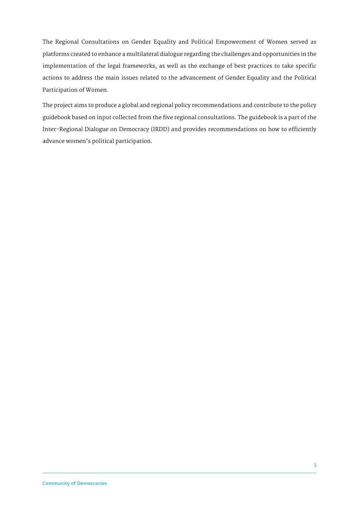The Regional Consultations on Gender Equality and Political Empowerment of Women served as platforms created to enhance a multilateral dialogue regarding the challenges and opportunities in the implementation of the legal frameworks, as well as the exchange of best practices to take specific actions to address the main issues related to the advancement of Gender Equality and the Political Participation of Women.

The project aims to produce a global and regional policy recommendations and contribute to the policy guidebook based on input collected from the five regional consultations. The guidebook is a part of the Inter-Regional Dialogue on Democracy (IRDD) and provides recommendations on how to efficiently advance women's political participation.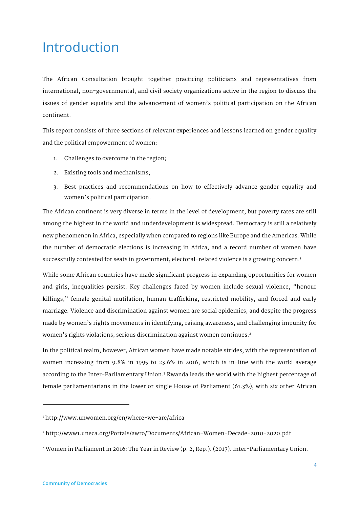## Introduction

The African Consultation brought together practicing politicians and representatives from international, non-governmental, and civil society organizations active in the region to discuss the issues of gender equality and the advancement of women's political participation on the African continent.

This report consists of three sections of relevant experiences and lessons learned on gender equality and the political empowerment of women:

- 1. Challenges to overcome in the region;
- 2. Existing tools and mechanisms;
- 3. Best practices and recommendations on how to effectively advance gender equality and women's political participation.

The African continent is very diverse in terms in the level of development, but poverty rates are still among the highest in the world and underdevelopment is widespread. Democracy is still a relatively new phenomenon in Africa, especially when compared to regions like Europe and the Americas. While the number of democratic elections is increasing in Africa, and a record number of women have successfully contested for seats in government, electoral-related violence is a growing concern.<sup>1</sup>

While some African countries have made significant progress in expanding opportunities for women and girls, inequalities persist. Key challenges faced by women include sexual violence, "honour killings," female genital mutilation, human trafficking, restricted mobility, and forced and early marriage. Violence and discrimination against women are social epidemics, and despite the progress made by women's rights movements in identifying, raising awareness, and challenging impunity for women's rights violations, serious discrimination against women continues.<sup>2</sup>

In the political realm, however, African women have made notable strides, with the representation of women increasing from 9.8% in 1995 to 23.6% in 2016, which is in-line with the world average according to the Inter-Parliamentary Union.3 Rwanda leads the world with the highest percentage of female parliamentarians in the lower or single House of Parliament (61.3%), with six other African

j

<sup>1</sup> http://www.unwomen.org/en/where-we-are/africa

<sup>2</sup> http://www1.uneca.org/Portals/awro/Documents/African-Women-Decade-2010-2020.pdf

<sup>3</sup> Women in Parliament in 2016: The Year in Review (p. 2, Rep.). (2017). Inter-Parliamentary Union.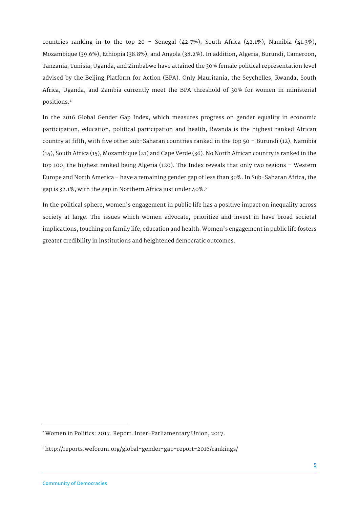countries ranking in to the top  $20 -$  Senegal  $(42.7%)$ , South Africa  $(42.1%)$ , Namibia  $(41.3%)$ , Mozambique (39.6%), Ethiopia (38.8%), and Angola (38.2%). In addition, Algeria, Burundi, Cameroon, Tanzania, Tunisia, Uganda, and Zimbabwe have attained the 30% female political representation level advised by the Beijing Platform for Action (BPA). Only Mauritania, the Seychelles, Rwanda, South Africa, Uganda, and Zambia currently meet the BPA threshold of 30% for women in ministerial positions.4

In the 2016 Global Gender Gap Index, which measures progress on gender equality in economic participation, education, political participation and health, Rwanda is the highest ranked African country at fifth, with five other sub-Saharan countries ranked in the top 50 – Burundi (12), Namibia (14), South Africa (15), Mozambique (21) and Cape Verde (36). No North African country is ranked in the top 100, the highest ranked being Algeria (120). The Index reveals that only two regions – Western Europe and North America – have a remaining gender gap of less than 30%. In Sub-Saharan Africa, the gap is 32.1%, with the gap in Northern Africa just under 40%.5

In the political sphere, women's engagement in public life has a positive impact on inequality across society at large. The issues which women advocate, prioritize and invest in have broad societal implications, touching on family life, education and health. Women's engagement in public life fosters greater credibility in institutions and heightened democratic outcomes.

j

<sup>4</sup>Women in Politics: 2017. Report. Inter-Parliamentary Union, 2017.

<sup>5</sup>http://reports.weforum.org/global-gender-gap-report-2016/rankings/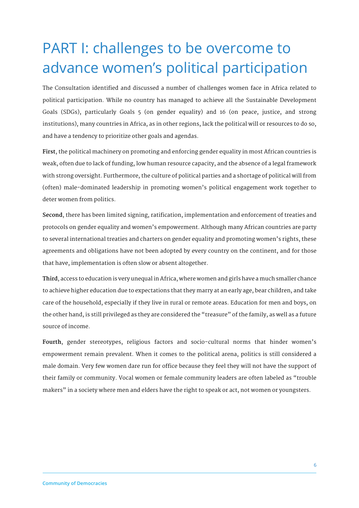# PART I: challenges to be overcome to advance women's political participation

The Consultation identified and discussed a number of challenges women face in Africa related to political participation. While no country has managed to achieve all the Sustainable Development Goals (SDGs), particularly Goals 5 (on gender equality) and 16 (on peace, justice, and strong institutions), many countries in Africa, as in other regions, lack the political will or resources to do so, and have a tendency to prioritize other goals and agendas.

**First**, the political machinery on promoting and enforcing gender equality in most African countries is weak, often due to lack of funding, low human resource capacity, and the absence of a legal framework with strong oversight. Furthermore, the culture of political parties and a shortage of political will from (often) male-dominated leadership in promoting women's political engagement work together to deter women from politics.

**Second**, there has been limited signing, ratification, implementation and enforcement of treaties and protocols on gender equality and women's empowerment. Although many African countries are party to several international treaties and charters on gender equality and promoting women's rights, these agreements and obligations have not been adopted by every country on the continent, and for those that have, implementation is often slow or absent altogether.

**Third**, access to education is very unequal in Africa, where women and girls have a much smaller chance to achieve higher education due to expectations that they marry at an early age, bear children, and take care of the household, especially if they live in rural or remote areas. Education for men and boys, on the other hand, is still privileged as they are considered the "treasure" of the family, as well as a future source of income.

**Fourth**, gender stereotypes, religious factors and socio-cultural norms that hinder women's empowerment remain prevalent. When it comes to the political arena, politics is still considered a male domain. Very few women dare run for office because they feel they will not have the support of their family or community. Vocal women or female community leaders are often labeled as "trouble makers" in a society where men and elders have the right to speak or act, not women or youngsters.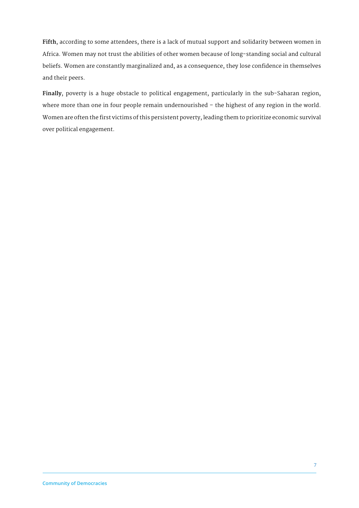**Fifth**, according to some attendees, there is a lack of mutual support and solidarity between women in Africa. Women may not trust the abilities of other women because of long-standing social and cultural beliefs. Women are constantly marginalized and, as a consequence, they lose confidence in themselves and their peers.

**Finally**, poverty is a huge obstacle to political engagement, particularly in the sub-Saharan region, where more than one in four people remain undernourished – the highest of any region in the world. Women are often the first victims of this persistent poverty, leading them to prioritize economic survival over political engagement.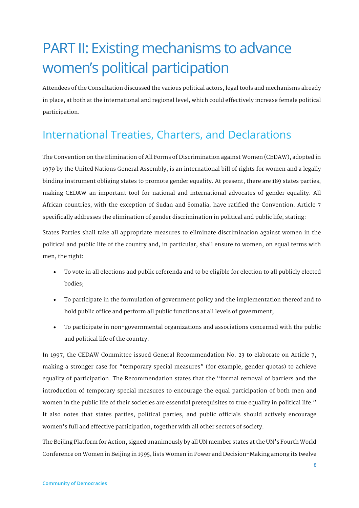# PART II: Existing mechanisms to advance women's political participation

Attendees of the Consultation discussed the various political actors, legal tools and mechanisms already in place, at both at the international and regional level, which could effectively increase female political participation.

#### International Treaties, Charters, and Declarations

The Convention on the Elimination of All Forms of Discrimination against Women (CEDAW), adopted in 1979 by the United Nations General Assembly, is an international bill of rights for women and a legally binding instrument obliging states to promote gender equality. At present, there are 189 states parties, making CEDAW an important tool for national and international advocates of gender equality. All African countries, with the exception of Sudan and Somalia, have ratified the Convention. Article 7 specifically addresses the elimination of gender discrimination in political and public life, stating:

States Parties shall take all appropriate measures to eliminate discrimination against women in the political and public life of the country and, in particular, shall ensure to women, on equal terms with men, the right:

- To vote in all elections and public referenda and to be eligible for election to all publicly elected bodies;
- To participate in the formulation of government policy and the implementation thereof and to hold public office and perform all public functions at all levels of government;
- To participate in non-governmental organizations and associations concerned with the public and political life of the country.

In 1997, the CEDAW Committee issued General Recommendation No. 23 to elaborate on Article 7, making a stronger case for "temporary special measures" (for example, gender quotas) to achieve equality of participation. The Recommendation states that the "formal removal of barriers and the introduction of temporary special measures to encourage the equal participation of both men and women in the public life of their societies are essential prerequisites to true equality in political life." It also notes that states parties, political parties, and public officials should actively encourage women's full and effective participation, together with all other sectors of society.

The Beijing Platform for Action, signed unanimously by all UN member states at the UN's Fourth World Conference on Women in Beijing in 1995, lists Women in Power and Decision-Making among its twelve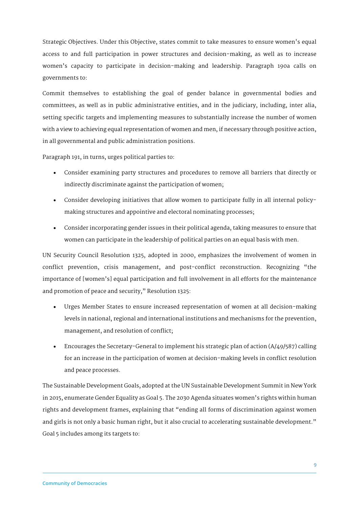Strategic Objectives. Under this Objective, states commit to take measures to ensure women's equal access to and full participation in power structures and decision-making, as well as to increase women's capacity to participate in decision-making and leadership. Paragraph 190a calls on governments to:

Commit themselves to establishing the goal of gender balance in governmental bodies and committees, as well as in public administrative entities, and in the judiciary, including, inter alia, setting specific targets and implementing measures to substantially increase the number of women with a view to achieving equal representation of women and men, if necessary through positive action, in all governmental and public administration positions.

Paragraph 191, in turns, urges political parties to:

- Consider examining party structures and procedures to remove all barriers that directly or indirectly discriminate against the participation of women;
- Consider developing initiatives that allow women to participate fully in all internal policymaking structures and appointive and electoral nominating processes;
- Consider incorporating gender issues in their political agenda, taking measures to ensure that women can participate in the leadership of political parties on an equal basis with men.

UN Security Council Resolution 1325, adopted in 2000, emphasizes the involvement of women in conflict prevention, crisis management, and post-conflict reconstruction. Recognizing "the importance of [women's] equal participation and full involvement in all efforts for the maintenance and promotion of peace and security," Resolution 1325:

- Urges Member States to ensure increased representation of women at all decision-making levels in national, regional and international institutions and mechanisms for the prevention, management, and resolution of conflict;
- Encourages the Secretary-General to implement his strategic plan of action (A/49/587) calling for an increase in the participation of women at decision-making levels in conflict resolution and peace processes.

The Sustainable Development Goals, adopted at the UN Sustainable Development Summit in New York in 2015, enumerate Gender Equality as Goal 5. The 2030 Agenda situates women's rights within human rights and development frames, explaining that "ending all forms of discrimination against women and girls is not only a basic human right, but it also crucial to accelerating sustainable development." Goal 5 includes among its targets to: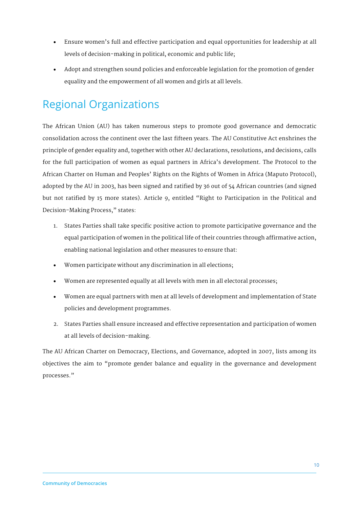- Ensure women's full and effective participation and equal opportunities for leadership at all levels of decision-making in political, economic and public life;
- Adopt and strengthen sound policies and enforceable legislation for the promotion of gender equality and the empowerment of all women and girls at all levels.

#### Regional Organizations

The African Union (AU) has taken numerous steps to promote good governance and democratic consolidation across the continent over the last fifteen years. The AU Constitutive Act enshrines the principle of gender equality and, together with other AU declarations, resolutions, and decisions, calls for the full participation of women as equal partners in Africa's development. The Protocol to the African Charter on Human and Peoples' Rights on the Rights of Women in Africa (Maputo Protocol), adopted by the AU in 2003, has been signed and ratified by 36 out of 54 African countries (and signed but not ratified by 15 more states). Article 9, entitled "Right to Participation in the Political and Decision-Making Process," states:

- 1. States Parties shall take specific positive action to promote participative governance and the equal participation of women in the political life of their countries through affirmative action, enabling national legislation and other measures to ensure that:
- Women participate without any discrimination in all elections;
- Women are represented equally at all levels with men in all electoral processes;
- Women are equal partners with men at all levels of development and implementation of State policies and development programmes.
- 2. States Parties shall ensure increased and effective representation and participation of women at all levels of decision-making.

The AU African Charter on Democracy, Elections, and Governance, adopted in 2007, lists among its objectives the aim to "promote gender balance and equality in the governance and development processes."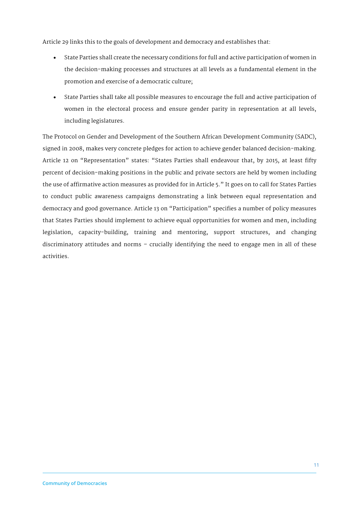Article 29 links this to the goals of development and democracy and establishes that:

- State Parties shall create the necessary conditions for full and active participation of women in the decision-making processes and structures at all levels as a fundamental element in the promotion and exercise of a democratic culture;
- State Parties shall take all possible measures to encourage the full and active participation of women in the electoral process and ensure gender parity in representation at all levels, including legislatures.

The Protocol on Gender and Development of the Southern African Development Community (SADC), signed in 2008, makes very concrete pledges for action to achieve gender balanced decision-making. Article 12 on "Representation" states: "States Parties shall endeavour that, by 2015, at least fifty percent of decision-making positions in the public and private sectors are held by women including the use of affirmative action measures as provided for in Article 5." It goes on to call for States Parties to conduct public awareness campaigns demonstrating a link between equal representation and democracy and good governance. Article 13 on "Participation" specifies a number of policy measures that States Parties should implement to achieve equal opportunities for women and men, including legislation, capacity-building, training and mentoring, support structures, and changing discriminatory attitudes and norms – crucially identifying the need to engage men in all of these activities.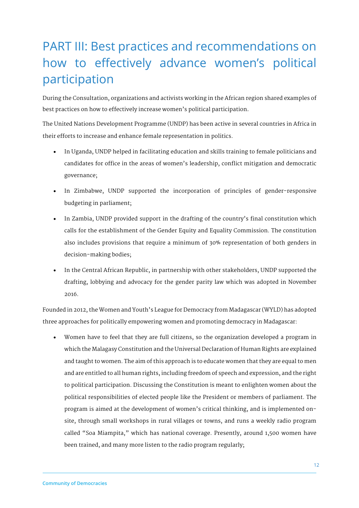## PART III: Best practices and recommendations on how to effectively advance women's political participation

During the Consultation, organizations and activists working in the African region shared examples of best practices on how to effectively increase women's political participation.

The United Nations Development Programme (UNDP) has been active in several countries in Africa in their efforts to increase and enhance female representation in politics.

- In Uganda, UNDP helped in facilitating education and skills training to female politicians and candidates for office in the areas of women's leadership, conflict mitigation and democratic governance;
- In Zimbabwe, UNDP supported the incorporation of principles of gender-responsive budgeting in parliament;
- In Zambia, UNDP provided support in the drafting of the country's final constitution which calls for the establishment of the Gender Equity and Equality Commission. The constitution also includes provisions that require a minimum of 30% representation of both genders in decision-making bodies;
- In the Central African Republic, in partnership with other stakeholders, UNDP supported the drafting, lobbying and advocacy for the gender parity law which was adopted in November 2016.

Founded in 2012, the Women and Youth's League for Democracy from Madagascar (WYLD) has adopted three approaches for politically empowering women and promoting democracy in Madagascar:

• Women have to feel that they are full citizens, so the organization developed a program in which the Malagasy Constitution and the Universal Declaration of Human Rights are explained and taught to women. The aim of this approach is to educate women that they are equal to men and are entitled to all human rights, including freedom of speech and expression, and the right to political participation. Discussing the Constitution is meant to enlighten women about the political responsibilities of elected people like the President or members of parliament. The program is aimed at the development of women's critical thinking, and is implemented onsite, through small workshops in rural villages or towns, and runs a weekly radio program called "Soa Miampita," which has national coverage. Presently, around 1,500 women have been trained, and many more listen to the radio program regularly;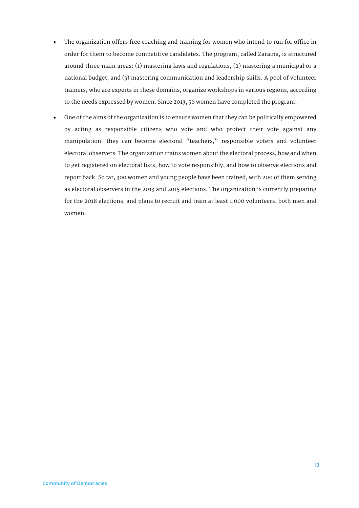- The organization offers free coaching and training for women who intend to run for office in order for them to become competitive candidates. The program, called Zaraina, is structured around three main areas: (1) mastering laws and regulations, (2) mastering a municipal or a national budget, and (3) mastering communication and leadership skills. A pool of volunteer trainers, who are experts in these domains, organize workshops in various regions, according to the needs expressed by women. Since 2013, 56 women have completed the program;
- One of the aims of the organization is to ensure women that they can be politically empowered by acting as responsible citizens who vote and who protect their vote against any manipulation: they can become electoral "teachers," responsible voters and volunteer electoral observers. The organization trains women about the electoral process, how and when to get registered on electoral lists, how to vote responsibly, and how to observe elections and report back. So far, 300 women and young people have been trained, with 200 of them serving as electoral observers in the 2013 and 2015 elections. The organization is currently preparing for the 2018 elections, and plans to recruit and train at least 1,000 volunteers, both men and women.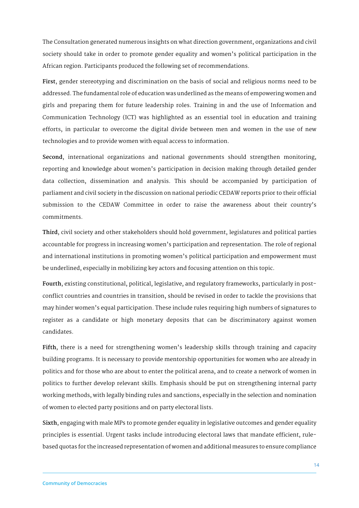The Consultation generated numerous insights on what direction government, organizations and civil society should take in order to promote gender equality and women's political participation in the African region. Participants produced the following set of recommendations.

**First**, gender stereotyping and discrimination on the basis of social and religious norms need to be addressed. The fundamental role of education was underlined as the means of empowering women and girls and preparing them for future leadership roles. Training in and the use of Information and Communication Technology (ICT) was highlighted as an essential tool in education and training efforts, in particular to overcome the digital divide between men and women in the use of new technologies and to provide women with equal access to information.

**Second**, international organizations and national governments should strengthen monitoring, reporting and knowledge about women's participation in decision making through detailed gender data collection, dissemination and analysis. This should be accompanied by participation of parliament and civil society in the discussion on national periodic CEDAW reports prior to their official submission to the CEDAW Committee in order to raise the awareness about their country's commitments.

**Third**, civil society and other stakeholders should hold government, legislatures and political parties accountable for progress in increasing women's participation and representation. The role of regional and international institutions in promoting women's political participation and empowerment must be underlined, especially in mobilizing key actors and focusing attention on this topic.

**Fourth**, existing constitutional, political, legislative, and regulatory frameworks, particularly in postconflict countries and countries in transition, should be revised in order to tackle the provisions that may hinder women's equal participation. These include rules requiring high numbers of signatures to register as a candidate or high monetary deposits that can be discriminatory against women candidates.

**Fifth**, there is a need for strengthening women's leadership skills through training and capacity building programs. It is necessary to provide mentorship opportunities for women who are already in politics and for those who are about to enter the political arena, and to create a network of women in politics to further develop relevant skills. Emphasis should be put on strengthening internal party working methods, with legally binding rules and sanctions, especially in the selection and nomination of women to elected party positions and on party electoral lists.

**Sixth**, engaging with male MPs to promote gender equality in legislative outcomes and gender equality principles is essential. Urgent tasks include introducing electoral laws that mandate efficient, rulebased quotas for the increased representation of women and additional measures to ensure compliance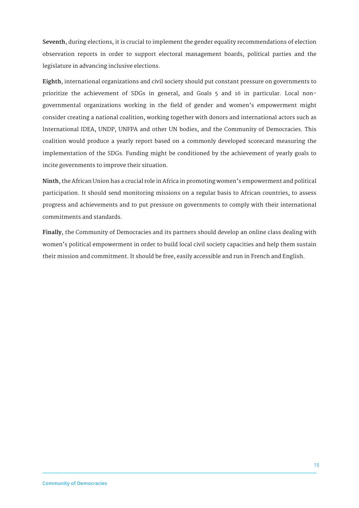**Seventh**, during elections, it is crucial to implement the gender equality recommendations of election observation reports in order to support electoral management boards, political parties and the legislature in advancing inclusive elections.

**Eighth**, international organizations and civil society should put constant pressure on governments to prioritize the achievement of SDGs in general, and Goals 5 and 16 in particular. Local nongovernmental organizations working in the field of gender and women's empowerment might consider creating a national coalition, working together with donors and international actors such as International IDEA, UNDP, UNFPA and other UN bodies, and the Community of Democracies. This coalition would produce a yearly report based on a commonly developed scorecard measuring the implementation of the SDGs. Funding might be conditioned by the achievement of yearly goals to incite governments to improve their situation.

**Ninth**, the African Union has a crucial role in Africa in promoting women's empowerment and political participation. It should send monitoring missions on a regular basis to African countries, to assess progress and achievements and to put pressure on governments to comply with their international commitments and standards.

**Finally**, the Community of Democracies and its partners should develop an online class dealing with women's political empowerment in order to build local civil society capacities and help them sustain their mission and commitment. It should be free, easily accessible and run in French and English.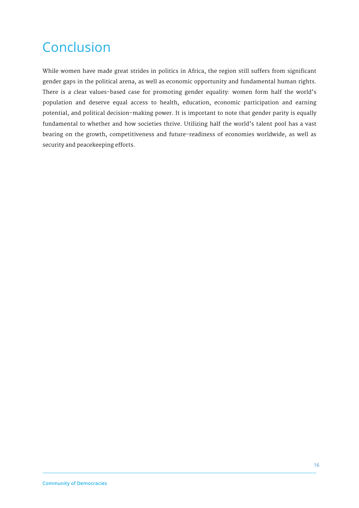## Conclusion

While women have made great strides in politics in Africa, the region still suffers from significant gender gaps in the political arena, as well as economic opportunity and fundamental human rights. There is a clear values-based case for promoting gender equality: women form half the world's population and deserve equal access to health, education, economic participation and earning potential, and political decision-making power. It is important to note that gender parity is equally fundamental to whether and how societies thrive. Utilizing half the world's talent pool has a vast bearing on the growth, competitiveness and future-readiness of economies worldwide, as well as security and peacekeeping efforts.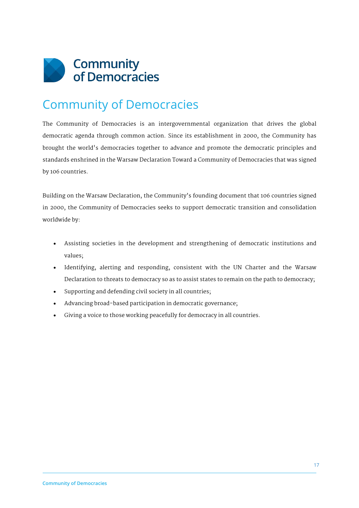

### Community of Democracies

The Community of Democracies is an intergovernmental organization that drives the global democratic agenda through common action. Since its establishment in 2000, the Community has brought the world's democracies together to advance and promote the democratic principles and standards enshrined in the Warsaw Declaration Toward a Community of Democracies that was signed by 106 countries.

Building on the Warsaw Declaration, the Community's founding document that 106 countries signed in 2000, the Community of Democracies seeks to support democratic transition and consolidation worldwide by:

- Assisting societies in the development and strengthening of democratic institutions and values;
- Identifying, alerting and responding, consistent with the UN Charter and the Warsaw Declaration to threats to democracy so as to assist states to remain on the path to democracy;
- Supporting and defending civil society in all countries;
- Advancing broad-based participation in democratic governance;
- Giving a voice to those working peacefully for democracy in all countries.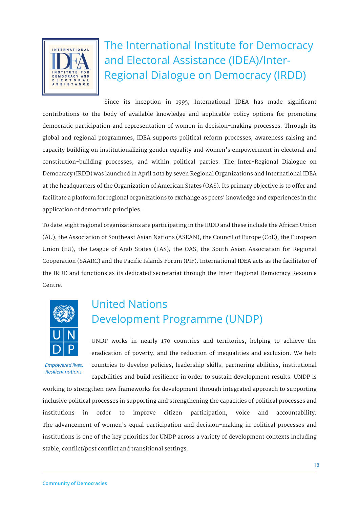

The International Institute for Democracy and Electoral Assistance (IDEA)/Inter-Regional Dialogue on Democracy (IRDD)

Since its inception in 1995, International IDEA has made significant contributions to the body of available knowledge and applicable policy options for promoting democratic participation and representation of women in decision-making processes. Through its global and regional programmes, IDEA supports political reform processes, awareness raising and capacity building on institutionalizing gender equality and women's empowerment in electoral and constitution-building processes, and within political parties. The Inter-Regional Dialogue on Democracy (IRDD) was launched in April 2011 by seven Regional Organizations and International IDEA at the headquarters of the Organization of American States (OAS). Its primary objective is to offer and facilitate a platform for regional organizations to exchange as peers' knowledge and experiences in the application of democratic principles.

To date, eight regional organizations are participating in the IRDD and these include the African Union (AU), the Association of Southeast Asian Nations (ASEAN), the Council of Europe (CoE), the European Union (EU), the League of Arab States (LAS), the OAS, the South Asian Association for Regional Cooperation (SAARC) and the Pacific Islands Forum (PIF). International IDEA acts as the facilitator of the IRDD and functions as its dedicated secretariat through the Inter-Regional Democracy Resource Centre.



**Empowered lives. Resilient nations.** 

#### United Nations Development Programme (UNDP)

UNDP works in nearly 170 countries and territories, helping to achieve the eradication of poverty, and the reduction of inequalities and exclusion. We help countries to develop policies, leadership skills, partnering abilities, institutional capabilities and build resilience in order to sustain development results. UNDP is

working to strengthen new frameworks for development through integrated approach to supporting inclusive political processes in supporting and strengthening the capacities of political processes and institutions in order to improve citizen participation, voice and accountability. The advancement of women's equal participation and decision-making in political processes and institutions is one of the key priorities for UNDP across a variety of development contexts including stable, conflict/post conflict and transitional settings.